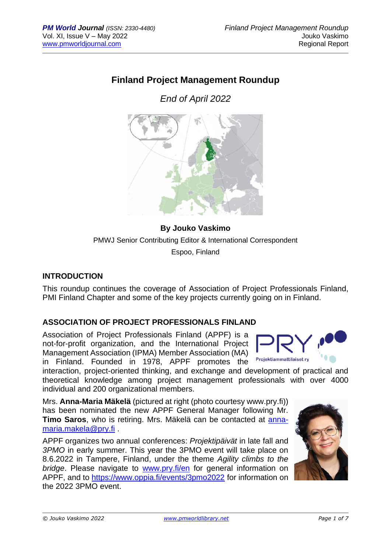# **Finland Project Management Roundup**

*End of April 2022*



**By Jouko Vaskimo** PMWJ Senior Contributing Editor & International Correspondent Espoo, Finland

### **INTRODUCTION**

This roundup continues the coverage of Association of Project Professionals Finland, PMI Finland Chapter and some of the key projects currently going on in Finland.

### **ASSOCIATION OF PROJECT PROFESSIONALS FINLAND**

Association of Project Professionals Finland (APPF) is a not-for-profit organization, and the International Project Management Association (IPMA) Member Association (MA) in Finland. Founded in 1978, APPF promotes the



interaction, project-oriented thinking, and exchange and development of practical and theoretical knowledge among project management professionals with over 4000 individual and 200 organizational members.

Mrs. **Anna-Maria Mäkelä** (pictured at right (photo courtesy www.pry.fi)) has been nominated the new APPF General Manager following Mr. **Timo Saros**, who is retiring. Mrs. Mäkelä can be contacted at [anna](mailto:anna-maria.makela@pry.fi)[maria.makela@pry.fi](mailto:anna-maria.makela@pry.fi) .

APPF organizes two annual conferences: *Projektipäivät* in late fall and *3PMO* in early summer. This year the 3PMO event will take place on 8.6.2022 in Tampere, Finland, under the theme *Agility climbs to the bridge*. Please navigate to [www.pry.fi/en](http://www.pry.fi/en) for general information on APPF, and to<https://www.oppia.fi/events/3pmo2022> for information on the 2022 3PMO event.

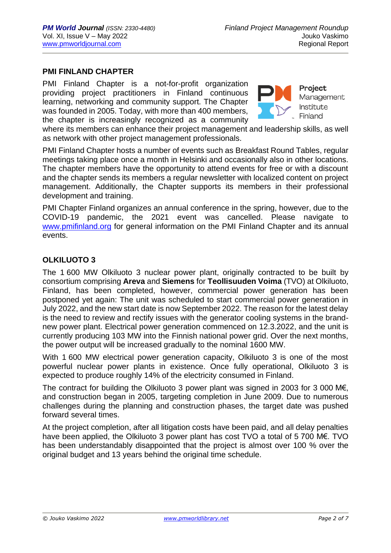#### **PMI FINLAND CHAPTER**

PMI Finland Chapter is a not-for-profit organization providing project practitioners in Finland continuous learning, networking and community support. The Chapter was founded in 2005. Today, with more than 400 members, the chapter is increasingly recognized as a community



**Project** Management Institute Finland

where its members can enhance their project management and leadership skills, as well as network with other project management professionals.

PMI Finland Chapter hosts a number of events such as Breakfast Round Tables, regular meetings taking place once a month in Helsinki and occasionally also in other locations. The chapter members have the opportunity to attend events for free or with a discount and the chapter sends its members a regular newsletter with localized content on project management. Additionally, the Chapter supports its members in their professional development and training.

PMI Chapter Finland organizes an annual conference in the spring, however, due to the COVID-19 pandemic, the 2021 event was cancelled. Please navigate to [www.pmifinland.org](http://www.pmifinland.org/) for general information on the PMI Finland Chapter and its annual events.

### **OLKILUOTO 3**

The 1 600 MW Olkiluoto 3 nuclear power plant, originally contracted to be built by consortium comprising **Areva** and **Siemens** for **Teollisuuden Voima** (TVO) at Olkiluoto, Finland, has been completed, however, commercial power generation has been postponed yet again: The unit was scheduled to start commercial power generation in July 2022, and the new start date is now September 2022. The reason for the latest delay is the need to review and rectify issues with the generator cooling systems in the brandnew power plant. Electrical power generation commenced on 12.3.2022, and the unit is currently producing 103 MW into the Finnish national power grid. Over the next months, the power output will be increased gradually to the nominal 1600 MW.

With 1 600 MW electrical power generation capacity, Olkiluoto 3 is one of the most powerful nuclear power plants in existence. Once fully operational, Olkiluoto 3 is expected to produce roughly 14% of the electricity consumed in Finland.

The contract for building the Olkiluoto 3 power plant was signed in 2003 for 3 000 M€, and construction began in 2005, targeting completion in June 2009. Due to numerous challenges during the planning and construction phases, the target date was pushed forward several times.

At the project completion, after all litigation costs have been paid, and all delay penalties have been applied, the Olkiluoto 3 power plant has cost TVO a total of 5 700 M€. TVO has been understandably disappointed that the project is almost over 100 % over the original budget and 13 years behind the original time schedule.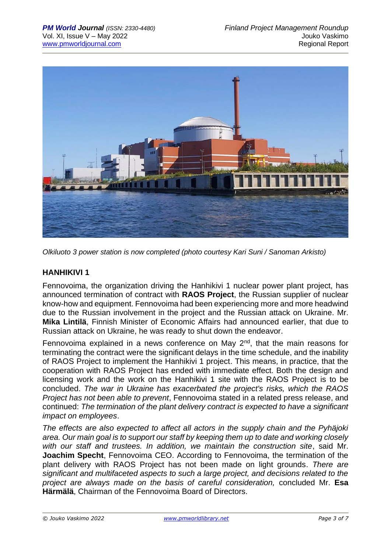

*Olkiluoto 3 power station is now completed (photo courtesy Kari Suni / Sanoman Arkisto)*

### **HANHIKIVI 1**

Fennovoima, the organization driving the Hanhikivi 1 nuclear power plant project, has announced termination of contract with **RAOS Project**, the Russian supplier of nuclear know-how and equipment. Fennovoima had been experiencing more and more headwind due to the Russian involvement in the project and the Russian attack on Ukraine. Mr. **Mika Lintilä**, Finnish Minister of Economic Affairs had announced earlier, that due to Russian attack on Ukraine, he was ready to shut down the endeavor.

Fennovoima explained in a news conference on May 2nd, that the main reasons for terminating the contract were the significant delays in the time schedule, and the inability of RAOS Project to implement the Hanhikivi 1 project. This means, in practice, that the cooperation with RAOS Project has ended with immediate effect. Both the design and licensing work and the work on the Hanhikivi 1 site with the RAOS Project is to be concluded. *The war in Ukraine has exacerbated the project's risks, which the RAOS Project has not been able to prevent*, Fennovoima stated in a related press release, and continued: *The termination of the plant delivery contract is expected to have a significant impact on employees*.

*The effects are also expected to affect all actors in the supply chain and the Pyhäjoki area. Our main goal is to support our staff by keeping them up to date and working closely with our staff and trustees. In addition, we maintain the construction site*, said Mr. **Joachim Specht**, Fennovoima CEO. According to Fennovoima, the termination of the plant delivery with RAOS Project has not been made on light grounds. *There are significant and multifaceted aspects to such a large project, and decisions related to the project are always made on the basis of careful consideration,* concluded Mr. **Esa Härmälä**, Chairman of the Fennovoima Board of Directors.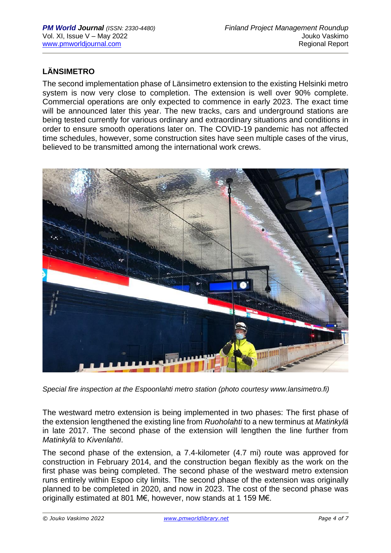## **LÄNSIMETRO**

The second implementation phase of Länsimetro extension to the existing Helsinki metro system is now very close to completion. The extension is well over 90% complete. Commercial operations are only expected to commence in early 2023. The exact time will be announced later this year. The new tracks, cars and underground stations are being tested currently for various ordinary and extraordinary situations and conditions in order to ensure smooth operations later on. The COVID-19 pandemic has not affected time schedules, however, some construction sites have seen multiple cases of the virus, believed to be transmitted among the international work crews.



*Special fire inspection at the Espoonlahti metro station (photo courtesy www.lansimetro.fi)*

The westward metro extension is being implemented in two phases: The first phase of the extension lengthened the existing line from *[Ruoholahti](https://en.wikipedia.org/wiki/Ruoholahti_metro_station)* to a new terminus at *[Matinkylä](https://en.wikipedia.org/wiki/Matinkyl%C3%A4)* in late 2017. The second phase of the extension will lengthen the line further from *Matinkylä* to *Kivenlahti*.

The second phase of the extension, a 7.4-kilometer (4.7 mi) route was approved for construction in February 2014, and the construction began flexibly as the work on the first phase was being completed. The second phase of the westward metro extension runs entirely within Espoo city limits. The second phase of the extension was originally planned to be completed in 2020, and now in 2023. The cost of the second phase was originally estimated at 801 M€, however, now stands at 1 159 M€.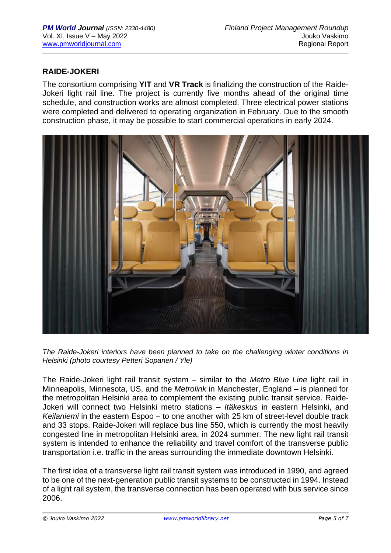### **RAIDE-JOKERI**

The consortium comprising **YIT** and **VR Track** is finalizing the construction of the Raide-Jokeri light rail line. The project is currently five months ahead of the original time schedule, and construction works are almost completed. Three electrical power stations were completed and delivered to operating organization in February. Due to the smooth construction phase, it may be possible to start commercial operations in early 2024.



*The Raide-Jokeri interiors have been planned to take on the challenging winter conditions in Helsinki (photo courtesy Petteri Sopanen / Yle)*

The Raide-Jokeri light rail transit system – similar to the *Metro Blue Line* light rail in Minneapolis, Minnesota, US, and the *Metrolink* in Manchester, England – is planned for the metropolitan Helsinki area to complement the existing public transit service. Raide-Jokeri will connect two Helsinki metro stations – *Itäkeskus* in eastern Helsinki, and *Keilaniemi* in the eastern Espoo – to one another with 25 km of street-level double track and 33 stops. Raide-Jokeri will replace bus line 550, which is currently the most heavily congested line in metropolitan Helsinki area, in 2024 summer. The new light rail transit system is intended to enhance the reliability and travel comfort of the transverse public transportation i.e. traffic in the areas surrounding the immediate downtown Helsinki.

The first idea of a transverse light rail transit system was introduced in 1990, and agreed to be one of the next-generation public transit systems to be constructed in 1994. Instead of a light rail system, the transverse connection has been operated with bus service since 2006.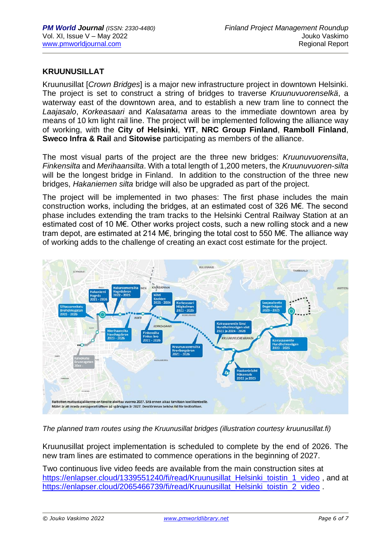### **KRUUNUSILLAT**

Kruunusillat [*Crown Bridges*] is a major new infrastructure project in downtown Helsinki. The project is set to construct a string of bridges to traverse *Kruunuvuorenselkä*, a waterway east of the downtown area, and to establish a new tram line to connect the *Laajasalo*, *Korkeasaari* and *Kalasatama* areas to the immediate downtown area by means of 10 km light rail line. The project will be implemented following the alliance way of working, with the **City of Helsinki**, **YIT**, **NRC Group Finland**, **Ramboll Finland**, **Sweco Infra & Rail** and **Sitowise** participating as members of the alliance.

The most visual parts of the project are the three new bridges: *Kruunuvuorensilta*, *Finkensilta* and *Merihaansilta*. With a total length of 1,200 meters, the *Kruunuvuoren*-*silta* will be the longest bridge in Finland. In addition to the construction of the three new bridges, *Hakaniemen silta* bridge will also be upgraded as part of the project.

The project will be implemented in two phases: The first phase includes the main construction works, including the bridges, at an estimated cost of 326 M€. The second phase includes extending the tram tracks to the Helsinki Central Railway Station at an estimated cost of 10 M€. Other works project costs, such a new rolling stock and a new tram depot, are estimated at 214 M€, bringing the total cost to 550 M€. The alliance way of working adds to the challenge of creating an exact cost estimate for the project.



*The planned tram routes using the Kruunusillat bridges (illustration courtesy kruunusillat.fi)*

Kruunusillat project implementation is scheduled to complete by the end of 2026. The new tram lines are estimated to commence operations in the beginning of 2027.

Two continuous live video feeds are available from the main construction sites at [https://enlapser.cloud/1339551240/fi/read/Kruunusillat\\_Helsinki\\_toistin\\_1\\_video](https://enlapser.cloud/1339551240/fi/read/Kruunusillat_Helsinki_toistin_1_video), and at [https://enlapser.cloud/2065466739/fi/read/Kruunusillat\\_Helsinki\\_toistin\\_2\\_video](https://enlapser.cloud/2065466739/fi/read/Kruunusillat_Helsinki_toistin_2_video) .